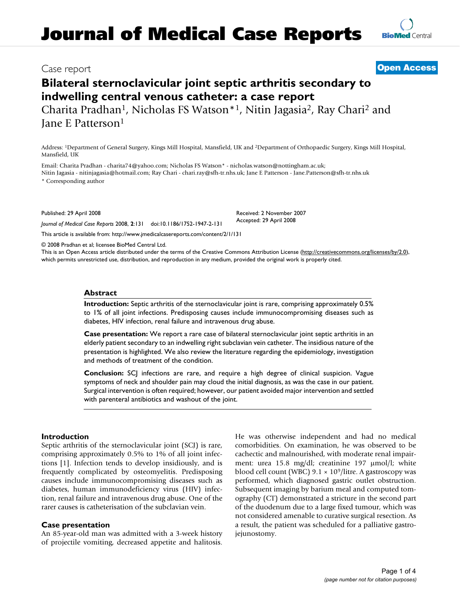# **Journal of Medical Case Reports**

# Case report **[Open Access](http://www.biomedcentral.com/info/about/charter/)**

# **Bilateral sternoclavicular joint septic arthritis secondary to indwelling central venous catheter: a case report**

Charita Pradhan1, Nicholas FS Watson\*1, Nitin Jagasia2, Ray Chari2 and Jane E Patterson1

Address: 1Department of General Surgery, Kings Mill Hospital, Mansfield, UK and 2Department of Orthopaedic Surgery, Kings Mill Hospital, Mansfield, UK

Email: Charita Pradhan - charita74@yahoo.com; Nicholas FS Watson\* - nicholas.watson@nottingham.ac.uk;

Nitin Jagasia - nitinjagasia@hotmail.com; Ray Chari - chari.ray@sfh-tr.nhs.uk; Jane E Patterson - Jane.Patterson@sfh-tr.nhs.uk \* Corresponding author

Published: 29 April 2008

*Journal of Medical Case Reports* 2008, **2**:131 doi:10.1186/1752-1947-2-131

[This article is available from: http://www.jmedicalcasereports.com/content/2/1/131](http://www.jmedicalcasereports.com/content/2/1/131)

© 2008 Pradhan et al; licensee BioMed Central Ltd.

This is an Open Access article distributed under the terms of the Creative Commons Attribution License [\(http://creativecommons.org/licenses/by/2.0\)](http://creativecommons.org/licenses/by/2.0), which permits unrestricted use, distribution, and reproduction in any medium, provided the original work is properly cited.

# **Abstract**

**Introduction:** Septic arthritis of the sternoclavicular joint is rare, comprising approximately 0.5% to 1% of all joint infections. Predisposing causes include immunocompromising diseases such as diabetes, HIV infection, renal failure and intravenous drug abuse.

**Case presentation:** We report a rare case of bilateral sternoclavicular joint septic arthritis in an elderly patient secondary to an indwelling right subclavian vein catheter. The insidious nature of the presentation is highlighted. We also review the literature regarding the epidemiology, investigation and methods of treatment of the condition.

**Conclusion:** SCJ infections are rare, and require a high degree of clinical suspicion. Vague symptoms of neck and shoulder pain may cloud the initial diagnosis, as was the case in our patient. Surgical intervention is often required; however, our patient avoided major intervention and settled with parenteral antibiotics and washout of the joint.

# **Introduction**

Septic arthritis of the sternoclavicular joint (SCJ) is rare, comprising approximately 0.5% to 1% of all joint infections [1]. Infection tends to develop insidiously, and is frequently complicated by osteomyelitis. Predisposing causes include immunocompromising diseases such as diabetes, human immunodeficiency virus (HIV) infection, renal failure and intravenous drug abuse. One of the rarer causes is catheterisation of the subclavian vein.

# **Case presentation**

An 85-year-old man was admitted with a 3-week history of projectile vomiting, decreased appetite and halitosis.

He was otherwise independent and had no medical comorbidities. On examination, he was observed to be cachectic and malnourished, with moderate renal impairment: urea 15.8 mg/dl; creatinine 197 μmol/l; white blood cell count (WBC)  $9.1 \times 10^9$ /litre. A gastroscopy was performed, which diagnosed gastric outlet obstruction. Subsequent imaging by barium meal and computed tomography (CT) demonstrated a stricture in the second part of the duodenum due to a large fixed tumour, which was not considered amenable to curative surgical resection. As a result, the patient was scheduled for a palliative gastrojejunostomy.

Received: 2 November 2007 Accepted: 29 April 2008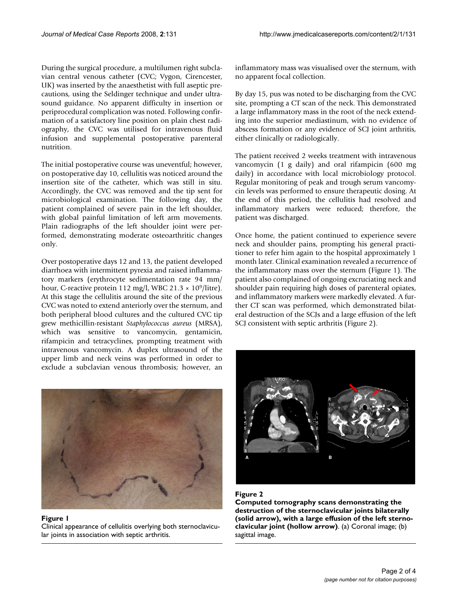During the surgical procedure, a multilumen right subclavian central venous catheter (CVC; Vygon, Cirencester, UK) was inserted by the anaesthetist with full aseptic precautions, using the Seldinger technique and under ultrasound guidance. No apparent difficulty in insertion or periprocedural complication was noted. Following confirmation of a satisfactory line position on plain chest radiography, the CVC was utilised for intravenous fluid infusion and supplemental postoperative parenteral nutrition.

The initial postoperative course was uneventful; however, on postoperative day 10, cellulitis was noticed around the insertion site of the catheter, which was still in situ. Accordingly, the CVC was removed and the tip sent for microbiological examination. The following day, the patient complained of severe pain in the left shoulder, with global painful limitation of left arm movements. Plain radiographs of the left shoulder joint were performed, demonstrating moderate osteoarthritic changes only.

Over postoperative days 12 and 13, the patient developed diarrhoea with intermittent pyrexia and raised inflammatory markers (erythrocyte sedimentation rate 94 mm/ hour, C-reactive protein 112 mg/l, WBC 21.3  $\times$  10<sup>9</sup>/litre). At this stage the cellulitis around the site of the previous CVC was noted to extend anteriorly over the sternum, and both peripheral blood cultures and the cultured CVC tip grew methicillin-resistant *Staphylococcus aureus* (MRSA), which was sensitive to vancomycin, gentamicin, rifampicin and tetracyclines, prompting treatment with intravenous vancomycin. A duplex ultrasound of the upper limb and neck veins was performed in order to exclude a subclavian venous thrombosis; however, an



### Figure 1 Clinical appearance of cellulitis overlying both sternoclavicular joints in association with septic arthritis.

inflammatory mass was visualised over the sternum, with no apparent focal collection.

By day 15, pus was noted to be discharging from the CVC site, prompting a CT scan of the neck. This demonstrated a large inflammatory mass in the root of the neck extending into the superior mediastinum, with no evidence of abscess formation or any evidence of SCJ joint arthritis, either clinically or radiologically.

The patient received 2 weeks treatment with intravenous vancomycin (1 g daily) and oral rifampicin (600 mg daily) in accordance with local microbiology protocol. Regular monitoring of peak and trough serum vancomycin levels was performed to ensure therapeutic dosing. At the end of this period, the cellulitis had resolved and inflammatory markers were reduced; therefore, the patient was discharged.

Once home, the patient continued to experience severe neck and shoulder pains, prompting his general practitioner to refer him again to the hospital approximately 1 month later. Clinical examination revealed a recurrence of the inflammatory mass over the sternum (Figure 1). The patient also complained of ongoing excruciating neck and shoulder pain requiring high doses of parenteral opiates, and inflammatory markers were markedly elevated. A further CT scan was performed, which demonstrated bilateral destruction of the SCJs and a large effusion of the left SCJ consistent with septic arthritis (Figure 2).



# Figure 2

**Computed tomography scans demonstrating the destruction of the sternoclavicular joints bilaterally (solid arrow), with a large effusion of the left sternoclavicular joint (hollow arrow)**. (a) Coronal image; (b) sagittal image.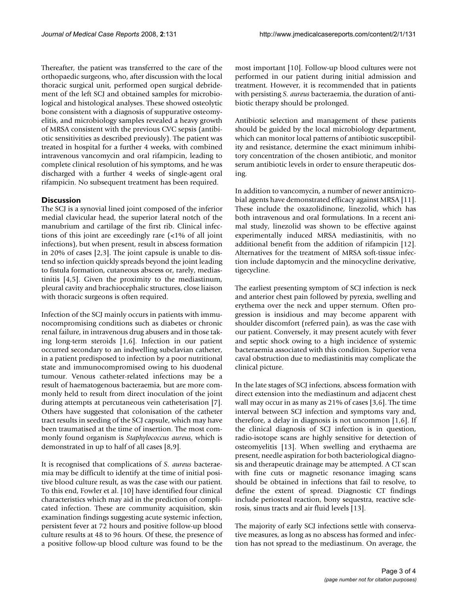Thereafter, the patient was transferred to the care of the orthopaedic surgeons, who, after discussion with the local thoracic surgical unit, performed open surgical debridement of the left SCJ and obtained samples for microbiological and histological analyses. These showed osteolytic bone consistent with a diagnosis of suppurative osteomyelitis, and microbiology samples revealed a heavy growth of MRSA consistent with the previous CVC sepsis (antibiotic sensitivities as described previously). The patient was treated in hospital for a further 4 weeks, with combined intravenous vancomycin and oral rifampicin, leading to complete clinical resolution of his symptoms, and he was discharged with a further 4 weeks of single-agent oral rifampicin. No subsequent treatment has been required.

# **Discussion**

The SCJ is a synovial lined joint composed of the inferior medial clavicular head, the superior lateral notch of the manubrium and cartilage of the first rib. Clinical infections of this joint are exceedingly rare (<1% of all joint infections), but when present, result in abscess formation in 20% of cases [2,3]. The joint capsule is unable to distend so infection quickly spreads beyond the joint leading to fistula formation, cutaneous abscess or, rarely, mediastinitis [4,5]. Given the proximity to the mediastinum, pleural cavity and brachiocephalic structures, close liaison with thoracic surgeons is often required.

Infection of the SCJ mainly occurs in patients with immunocompromising conditions such as diabetes or chronic renal failure, in intravenous drug abusers and in those taking long-term steroids [1,6]. Infection in our patient occurred secondary to an indwelling subclavian catheter, in a patient predisposed to infection by a poor nutritional state and immunocompromised owing to his duodenal tumour. Venous catheter-related infections may be a result of haematogenous bacteraemia, but are more commonly held to result from direct inoculation of the joint during attempts at percutaneous vein catheterisation [7]. Others have suggested that colonisation of the catheter tract results in seeding of the SCJ capsule, which may have been traumatised at the time of insertion. The most commonly found organism is *Staphylococcus aureus*, which is demonstrated in up to half of all cases [8,9].

It is recognised that complications of *S. aureus* bacteraemia may be difficult to identify at the time of initial positive blood culture result, as was the case with our patient. To this end, Fowler et al. [10] have identified four clinical characteristics which may aid in the prediction of complicated infection. These are community acquisition, skin examination findings suggesting acute systemic infection, persistent fever at 72 hours and positive follow-up blood culture results at 48 to 96 hours. Of these, the presence of a positive follow-up blood culture was found to be the most important [10]. Follow-up blood cultures were not performed in our patient during initial admission and treatment. However, it is recommended that in patients with persisting *S. aureus* bacteraemia, the duration of antibiotic therapy should be prolonged.

Antibiotic selection and management of these patients should be guided by the local microbiology department, which can monitor local patterns of antibiotic susceptibility and resistance, determine the exact minimum inhibitory concentration of the chosen antibiotic, and monitor serum antibiotic levels in order to ensure therapeutic dosing.

In addition to vancomycin, a number of newer antimicrobial agents have demonstrated efficacy against MRSA [11]. These include the oxazolidinone, linezolid, which has both intravenous and oral formulations. In a recent animal study, linezolid was shown to be effective against experimentally induced MRSA mediastinitis, with no additional benefit from the addition of rifampicin [12]. Alternatives for the treatment of MRSA soft-tissue infection include daptomycin and the minocycline derivative, tigecycline.

The earliest presenting symptom of SCJ infection is neck and anterior chest pain followed by pyrexia, swelling and erythema over the neck and upper sternum. Often progression is insidious and may become apparent with shoulder discomfort (referred pain), as was the case with our patient. Conversely, it may present acutely with fever and septic shock owing to a high incidence of systemic bacteraemia associated with this condition. Superior vena caval obstruction due to mediastinitis may complicate the clinical picture.

In the late stages of SCJ infections, abscess formation with direct extension into the mediastinum and adjacent chest wall may occur in as many as 21% of cases [3,6]. The time interval between SCJ infection and symptoms vary and, therefore, a delay in diagnosis is not uncommon [1,6]. If the clinical diagnosis of SCJ infection is in question, radio-isotope scans are highly sensitive for detection of osteomyelitis [13]. When swelling and erythaema are present, needle aspiration for both bacteriological diagnosis and therapeutic drainage may be attempted. A CT scan with fine cuts or magnetic resonance imaging scans should be obtained in infections that fail to resolve, to define the extent of spread. Diagnostic CT findings include periosteal reaction, bony sequestra, reactive sclerosis, sinus tracts and air fluid levels [13].

The majority of early SCJ infections settle with conservative measures, as long as no abscess has formed and infection has not spread to the mediastinum. On average, the